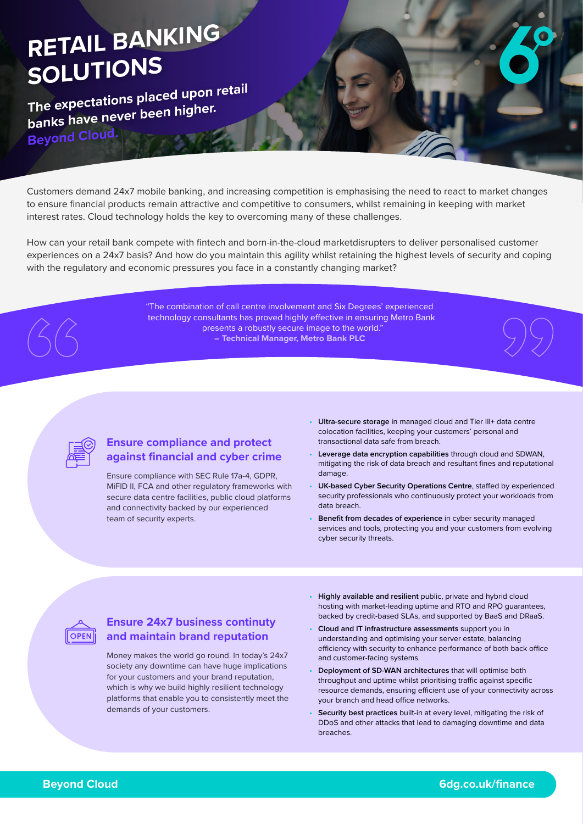# **RETAIL BANKING SOLUTIONS**

**The expectations placed upon retail banks have never been higher. Beyond Cloud.**

Customers demand 24x7 mobile banking, and increasing competition is emphasising the need to react to market changes to ensure financial products remain attractive and competitive to consumers, whilst remaining in keeping with market interest rates. Cloud technology holds the key to overcoming many of these challenges.

How can your retail bank compete with fintech and born-in-the-cloud marketdisrupters to deliver personalised customer experiences on a 24x7 basis? And how do you maintain this agility whilst retaining the highest levels of security and coping with the regulatory and economic pressures you face in a constantly changing market?

> "The combination of call centre involvement and Six Degrees' experienced technology consultants has proved highly effective in ensuring Metro Bank presents a robustly secure image to the world." **– Technical Manager, Metro Bank PLC**



## **Ensure compliance and protect against financial and cyber crime**

Ensure compliance with SEC Rule 17a-4, GDPR, MiFID II, FCA and other regulatory frameworks with secure data centre facilities, public cloud platforms and connectivity backed by our experienced team of security experts.

- **• Ultra-secure storage** in managed cloud and Tier III+ data centre colocation facilities, keeping your customers' personal and transactional data safe from breach.
- **• Leverage data encryption capabilities** through cloud and SDWAN, mitigating the risk of data breach and resultant fines and reputational damage.
- **• UK-based Cyber Security Operations Centre**, staffed by experienced security professionals who continuously protect your workloads from data breach.
- **• Benefit from decades of experience** in cyber security managed services and tools, protecting you and your customers from evolving cyber security threats.



#### **Ensure 24x7 business continuty and maintain brand reputation**

Money makes the world go round. In today's 24x7 society any downtime can have huge implications for your customers and your brand reputation, which is why we build highly resilient technology platforms that enable you to consistently meet the demands of your customers.

- **• Highly available and resilient** public, private and hybrid cloud hosting with market-leading uptime and RTO and RPO guarantees, backed by credit-based SLAs, and supported by BaaS and DRaaS.
- **• Cloud and IT infrastructure assessments** support you in understanding and optimising your server estate, balancing efficiency with security to enhance performance of both back office and customer-facing systems.
- **• Deployment of SD-WAN architectures** that will optimise both throughput and uptime whilst prioritising traffic against specific resource demands, ensuring efficient use of your connectivity across your branch and head office networks.
- **• Security best practices** built-in at every level, mitigating the risk of DDoS and other attacks that lead to damaging downtime and data breaches.